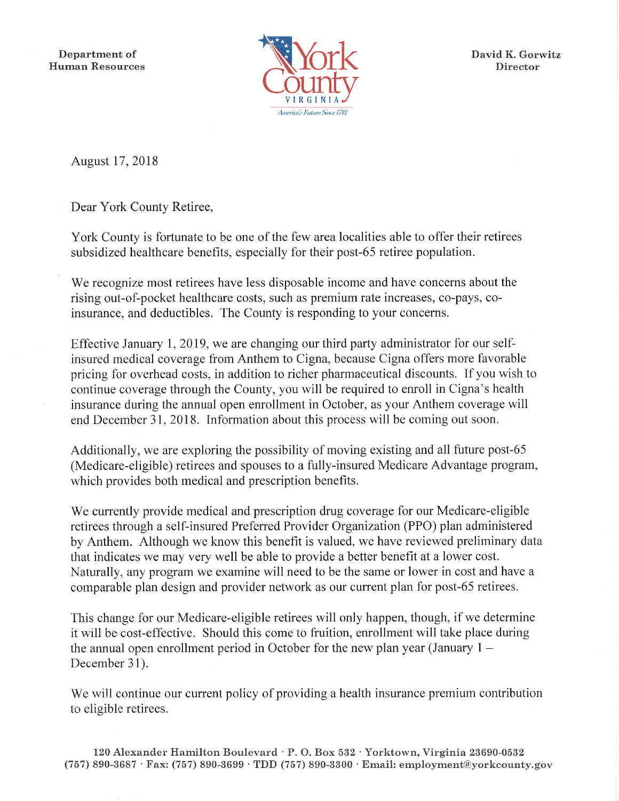Department of **Human Resources** 



David K. Gorwitz Director

August 17, 2018

Dear York County Retiree,

York County is fortunate to be one of the few area localities able to offer their retirees subsidized healthcare benefits, especially for their post-65 retiree population.

We recognize most retirees have less disposable income and have concerns about the rising out-of-pocket healthcare costs, such as premium rate increases, co-pays, coinsurance, and deductibles. The County is responding to your concerns.

Effective January 1, 2019, we are changing our third party administrator for our selfinsured medical coverage from Anthem to Cigna, because Cigna offers more favorable pricing for overhead costs, in addition to richer pharmaceutical discounts. If you wish to continue coverage through the County, you will be required to enroll in Cigna's health insurance during the annual open enrollment in October, as your Anthem coverage will end December 31, 2018. Information about this process will be coming out soon.

Additionally, we are exploring the possibility of moving existing and all future post-65 (Medicare-eligible) retirees and spouses to a fully-insured Medicare Advantage program, which provides both medical and prescription benefits.

We currently provide medical and prescription drug coverage for our Medicare-eligible retirees through a self-insured Preferred Provider Organization (PPO) plan administered by Anthem. Although we know this benefit is valued, we have reviewed preliminary data that indicates we may very well be able to provide a better benefit at a lower cost. Naturally, any program we examine will need to be the same or lower in cost and have a comparable plan design and provider network as our current plan for post-65 retirees.

This change for our Medicare-eligible retirees will only happen, though, if we determine it will be cost-effective. Should this come to fruition, enrollment will take place during the annual open enrollment period in October for the new plan year (January  $1 -$ December 31).

We will continue our current policy of providing a health insurance premium contribution to eligible retirees.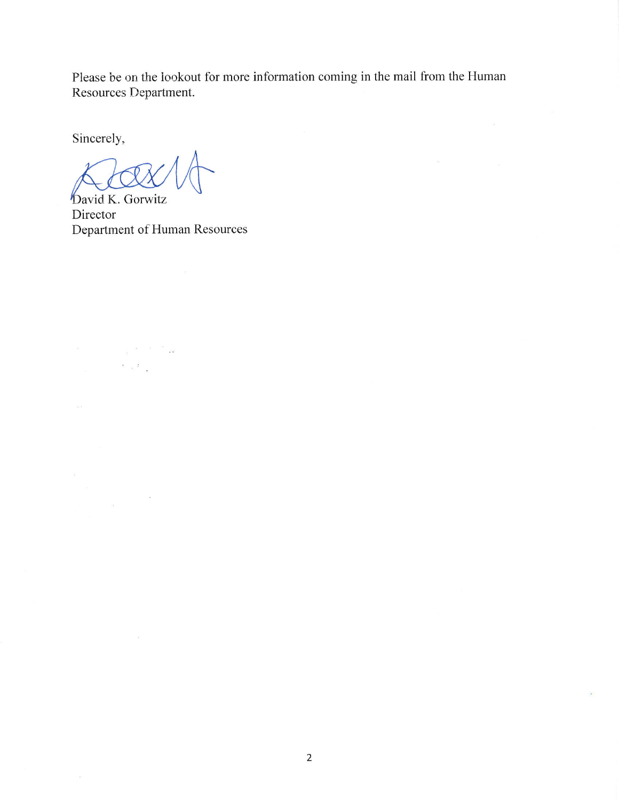Please be on the lookout for more information coming in the mail from the Human Resources Department.

 $\overline{\tau}(\overline{z})$ 

Sincerely,

 $\label{eq:1.1} \begin{array}{cc} \mathbf{X} & \mathbf{X} \\ \mathbf{X} & \mathbf{X} \end{array}$ 

 $\langle \tilde{\varphi} \rangle$ 

 $\omega_{\rm S}$ 

 $\alpha$ 

bavid K. Gorwitz Director Department of Human Resources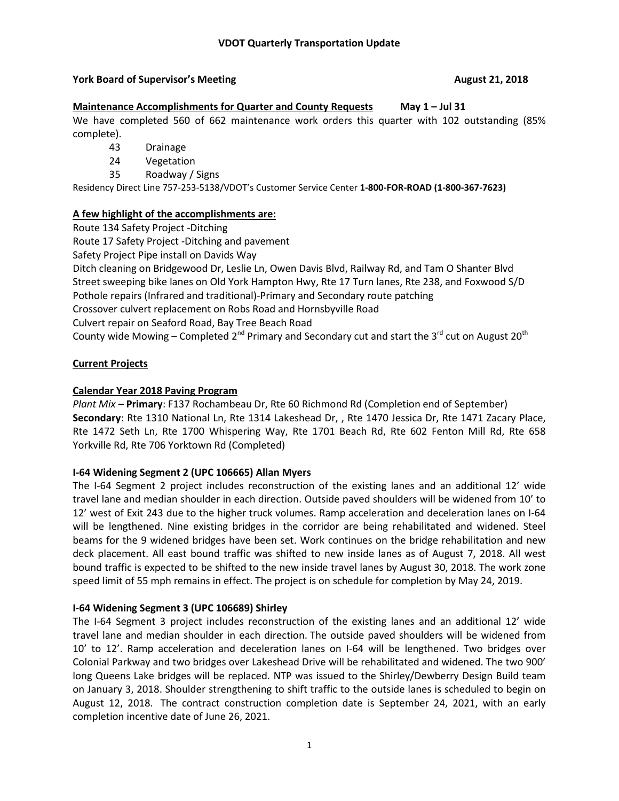# **York Board of Supervisor's Meeting August 21, 2018**

## **Maintenance Accomplishments for Quarter and County Requests May 1 – Jul 31**

We have completed 560 of 662 maintenance work orders this quarter with 102 outstanding (85% complete).

- 43 Drainage
- 24 Vegetation
- 35 Roadway / Signs

Residency Direct Line 757-253-5138/VDOT's Customer Service Center **1-800-FOR-ROAD (1-800-367-7623)**

# **A few highlight of the accomplishments are:**

Route 134 Safety Project -Ditching

Route 17 Safety Project -Ditching and pavement

Safety Project Pipe install on Davids Way

Ditch cleaning on Bridgewood Dr, Leslie Ln, Owen Davis Blvd, Railway Rd, and Tam O Shanter Blvd Street sweeping bike lanes on Old York Hampton Hwy, Rte 17 Turn lanes, Rte 238, and Foxwood S/D Pothole repairs (Infrared and traditional)-Primary and Secondary route patching Crossover culvert replacement on Robs Road and Hornsbyville Road Culvert repair on Seaford Road, Bay Tree Beach Road

County wide Mowing – Completed 2<sup>nd</sup> Primary and Secondary cut and start the 3<sup>rd</sup> cut on August 20<sup>th</sup>

# **Current Projects**

# **Calendar Year 2018 Paving Program**

*Plant Mix –* **Primary**: F137 Rochambeau Dr, Rte 60 Richmond Rd (Completion end of September) **Secondary**: Rte 1310 National Ln, Rte 1314 Lakeshead Dr, , Rte 1470 Jessica Dr, Rte 1471 Zacary Place, Rte 1472 Seth Ln, Rte 1700 Whispering Way, Rte 1701 Beach Rd, Rte 602 Fenton Mill Rd, Rte 658 Yorkville Rd, Rte 706 Yorktown Rd (Completed)

## **I-64 Widening Segment 2 (UPC 106665) Allan Myers**

The I-64 Segment 2 project includes reconstruction of the existing lanes and an additional 12' wide travel lane and median shoulder in each direction. Outside paved shoulders will be widened from 10' to 12' west of Exit 243 due to the higher truck volumes. Ramp acceleration and deceleration lanes on I-64 will be lengthened. Nine existing bridges in the corridor are being rehabilitated and widened. Steel beams for the 9 widened bridges have been set. Work continues on the bridge rehabilitation and new deck placement. All east bound traffic was shifted to new inside lanes as of August 7, 2018. All west bound traffic is expected to be shifted to the new inside travel lanes by August 30, 2018. The work zone speed limit of 55 mph remains in effect. The project is on schedule for completion by May 24, 2019.

## **I-64 Widening Segment 3 (UPC 106689) Shirley**

The I-64 Segment 3 project includes reconstruction of the existing lanes and an additional 12' wide travel lane and median shoulder in each direction. The outside paved shoulders will be widened from 10' to 12'. Ramp acceleration and deceleration lanes on I-64 will be lengthened. Two bridges over Colonial Parkway and two bridges over Lakeshead Drive will be rehabilitated and widened. The two 900' long Queens Lake bridges will be replaced. NTP was issued to the Shirley/Dewberry Design Build team on January 3, 2018. Shoulder strengthening to shift traffic to the outside lanes is scheduled to begin on August 12, 2018. The contract construction completion date is September 24, 2021, with an early completion incentive date of June 26, 2021.